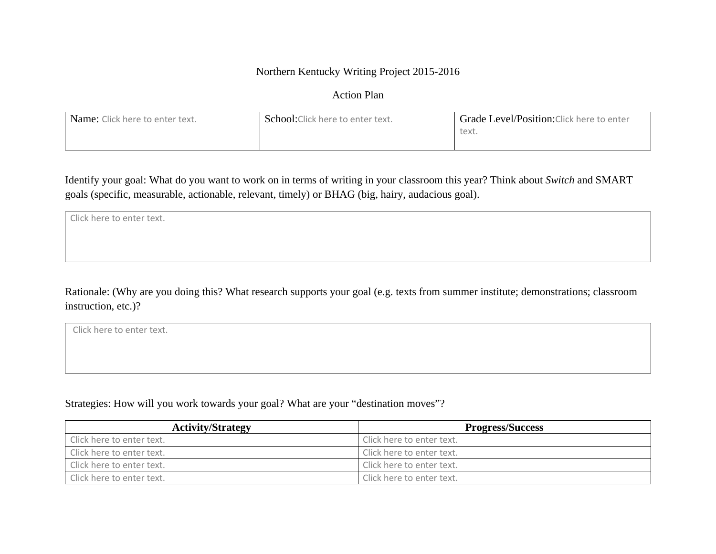#### Northern Kentucky Writing Project 2015-2016

Action Plan

| Name: Click here to enter text. | 1 School:Click here to enter text. | Grade Level/Position: Click here to enter |
|---------------------------------|------------------------------------|-------------------------------------------|
|                                 |                                    | text.                                     |
|                                 |                                    |                                           |

Identify your goal: What do you want to work on in terms of writing in your classroom this year? Think about *Switch* and SMART goals (specific, measurable, actionable, relevant, timely) or BHAG (big, hairy, audacious goal).

| Click here to enter text. |  |
|---------------------------|--|
|                           |  |
|                           |  |
|                           |  |

Rationale: (Why are you doing this? What research supports your goal (e.g. texts from summer institute; demonstrations; classroom instruction, etc.)?

Click here to enter text.

Strategies: How will you work towards your goal? What are your "destination moves"?

| <b>Activity/Strategy</b>  | <b>Progress/Success</b>   |
|---------------------------|---------------------------|
| Click here to enter text. | Click here to enter text. |
| Click here to enter text. | Click here to enter text. |
| Click here to enter text. | Click here to enter text. |
| Click here to enter text. | Click here to enter text. |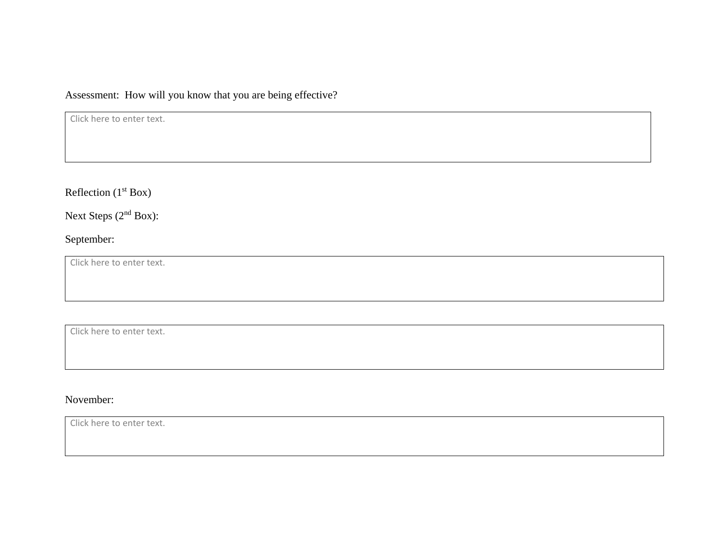# Assessment: How will you know that you are being effective?

Click here to enter text.

Reflection  $(1<sup>st</sup> Box)$ 

Next Steps (2<sup>nd</sup> Box):

# September:

Click here to enter text.

Click here to enter text.

#### November:

Click here to enter text.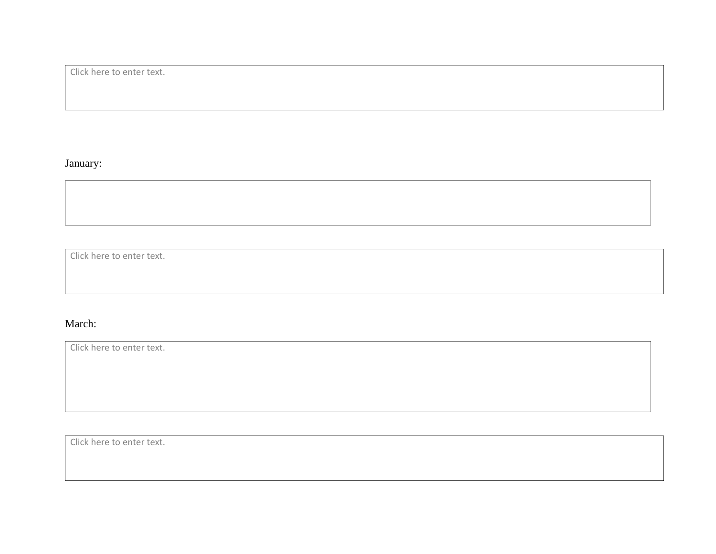Click here to enter text.

# January:

Click here to enter text.

# March:

Click here to enter text.

Click here to enter text.